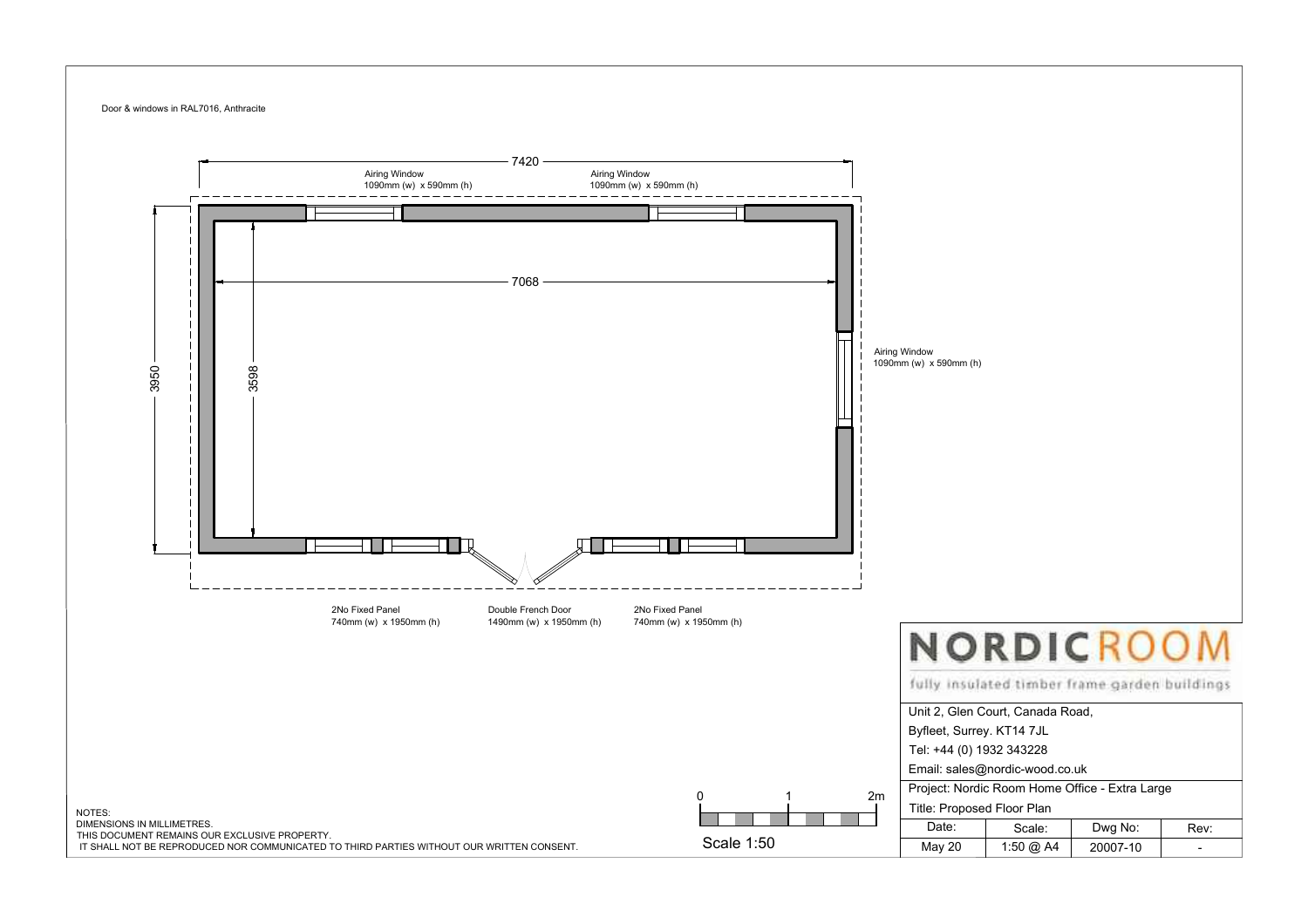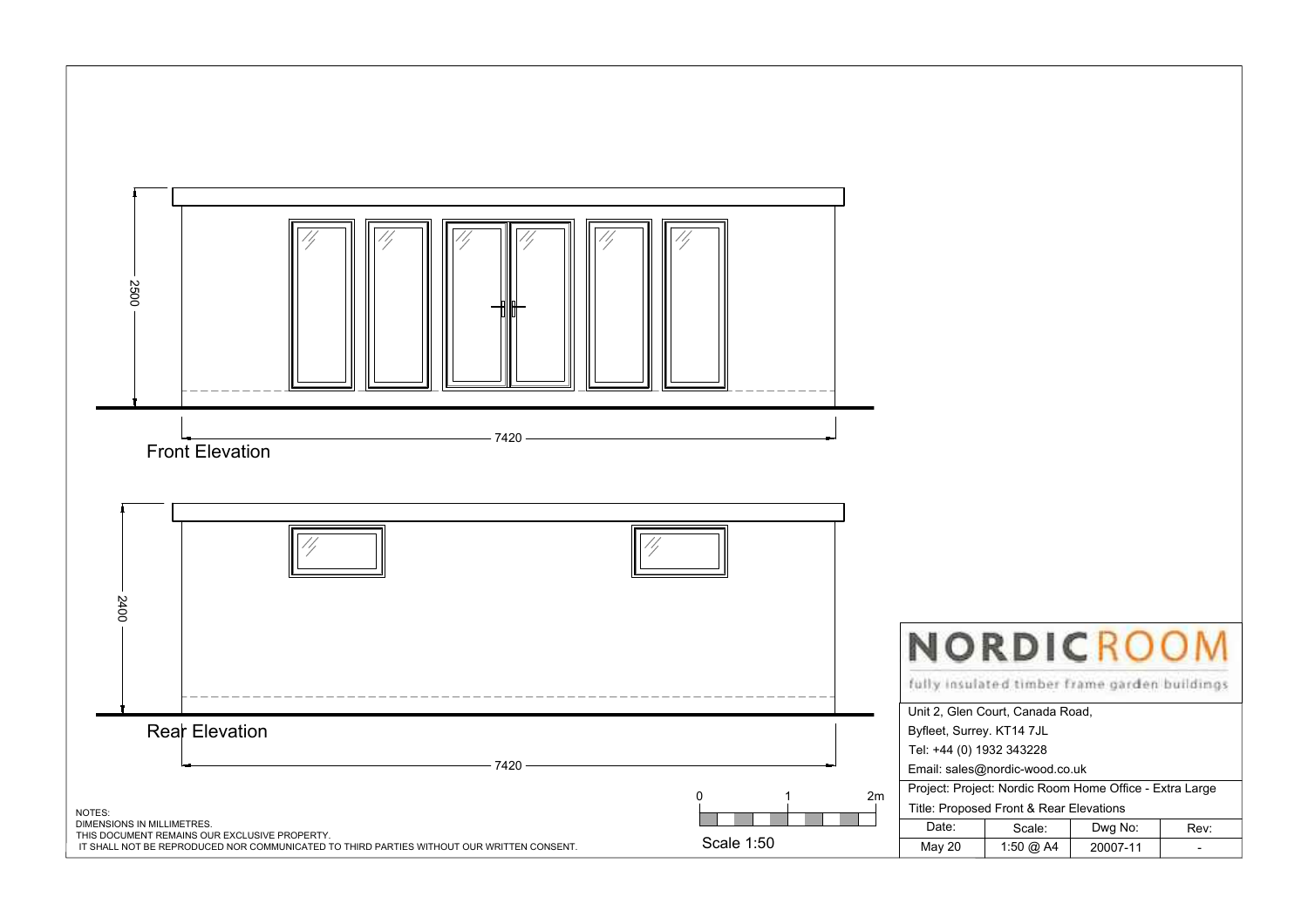